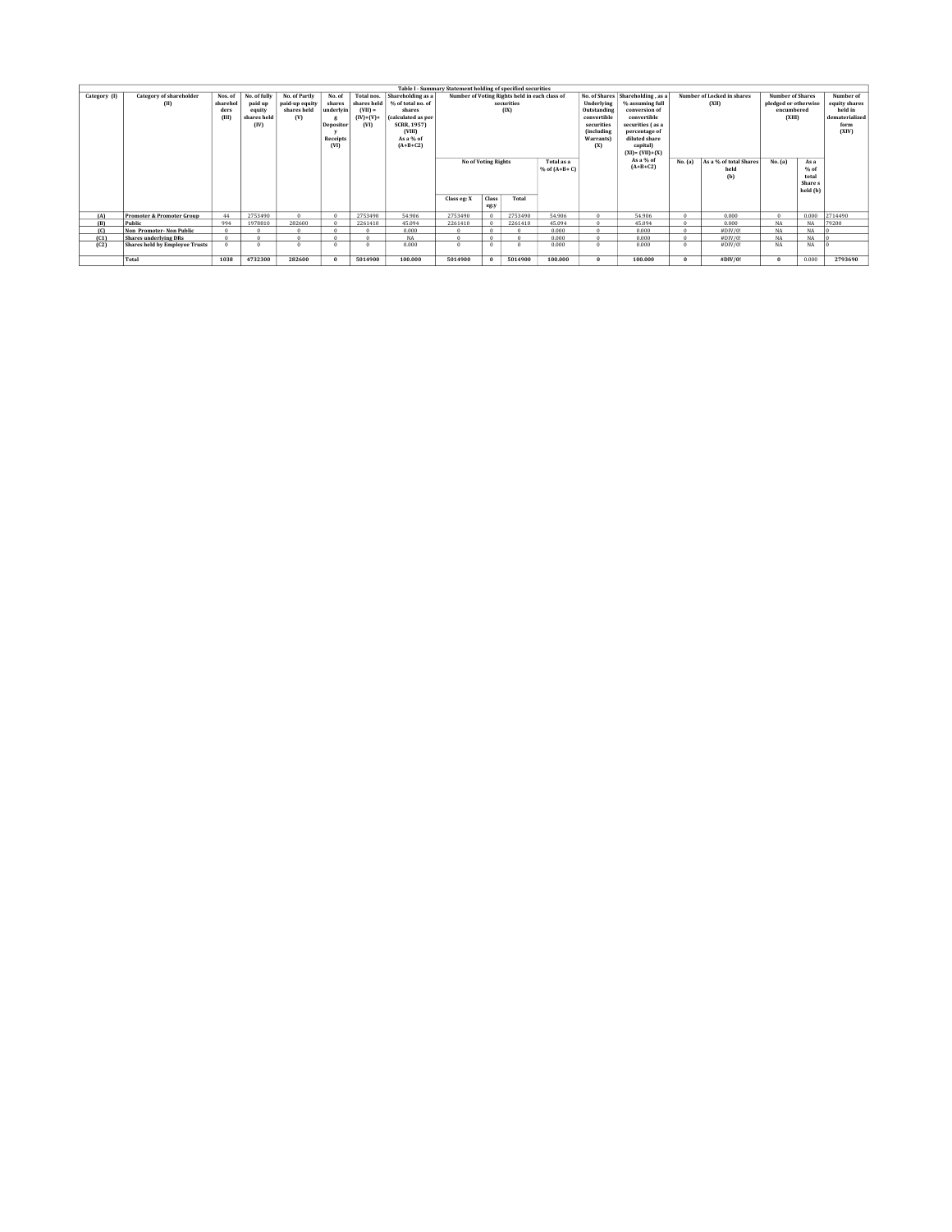|              |                                       |          |              |                |           |             |                    | Table I - Summary Statement holding of specified securities |          |                                               |           |                                 |                                                                  |                        |                         |                      |           |                |
|--------------|---------------------------------------|----------|--------------|----------------|-----------|-------------|--------------------|-------------------------------------------------------------|----------|-----------------------------------------------|-----------|---------------------------------|------------------------------------------------------------------|------------------------|-------------------------|----------------------|-----------|----------------|
| Category (I) | <b>Category of shareholder</b>        | Nos. of  | No. of fully | No. of Partly  | No. of    | Total nos.  | Shareholding as a  |                                                             |          | Number of Voting Rights held in each class of |           |                                 | No. of Shares   Shareholding, as a<br>Number of Locked in shares |                        | <b>Number of Shares</b> |                      | Number of |                |
|              | (II)                                  | sharehol | paid up      | paid-up equity | shares    | shares held | % of total no. of  | securities                                                  |          |                                               |           | Underlying                      | % assuming full                                                  | (XII)                  |                         | pledged or otherwise |           | equity shares  |
|              |                                       | ders     | equity       | shares held    | underlyin | $(VII) =$   | shares             |                                                             |          | (IX)                                          |           | Outstanding<br>convertible      | conversion of                                                    |                        |                         | encumbered           |           | held in        |
|              |                                       | (III)    | shares held  | (V)            |           | $(IV)+(V)+$ | (calculated as per |                                                             |          |                                               |           |                                 | convertible                                                      |                        |                         | (XIII)               |           | dematerialized |
|              |                                       |          | (IV)         |                | Depositor | (VI)        | <b>SCRR, 1957)</b> |                                                             |          |                                               |           | securities<br><i>(including</i> | securities (as a                                                 |                        |                         |                      |           | form           |
|              |                                       |          |              |                |           |             | (VIII)             |                                                             |          |                                               |           |                                 | percentage of                                                    |                        |                         |                      |           | (XIV)          |
|              |                                       |          |              |                | Receipts  |             | As a % of          |                                                             |          |                                               | Warrants) | diluted share                   |                                                                  |                        |                         |                      |           |                |
|              |                                       |          |              |                | (VI)      |             | $(A+B+C2)$         |                                                             |          |                                               |           | (X)                             | capital)                                                         |                        |                         |                      |           |                |
|              |                                       |          |              |                |           |             |                    |                                                             |          |                                               |           |                                 | $(XI) = (VII) + (X)$                                             |                        |                         |                      |           |                |
|              |                                       |          |              |                |           |             |                    | Total as a<br><b>No of Voting Rights</b>                    |          |                                               |           | As a % of                       | No. (a)                                                          | As a % of total Shares | No. (a)                 | As a                 |           |                |
|              |                                       |          |              |                |           |             |                    |                                                             |          | $%$ of $(A+B+C)$                              |           | $(A+B+C2)$                      |                                                                  | held                   |                         | % of                 |           |                |
|              |                                       |          |              |                |           |             |                    |                                                             |          |                                               |           |                                 |                                                                  |                        | (b)                     |                      | total     |                |
|              |                                       |          |              |                |           |             |                    |                                                             |          |                                               |           |                                 |                                                                  |                        |                         |                      | Share s   |                |
|              |                                       |          |              |                |           |             |                    |                                                             |          |                                               |           |                                 |                                                                  |                        |                         |                      | held (b)  |                |
|              |                                       |          |              |                |           |             |                    | Class eg: X                                                 | Class    | Total                                         |           |                                 |                                                                  |                        |                         |                      |           |                |
|              |                                       |          |              |                |           |             |                    |                                                             | eg:y     |                                               |           |                                 |                                                                  |                        |                         |                      |           |                |
| (A)          | <b>Promoter &amp; Promoter Group</b>  | 44       | 2753490      |                |           | 2753490     | 54.906             | 2753490                                                     | $\Omega$ | 2753490                                       | 54,906    | $\Omega$                        | 54.906                                                           |                        | 0.000                   | $\Omega$             | 0.000     | 2714490        |
| (B)          | Public                                | 994      | 1978810      | 282600         |           | 2261410     | 45.094             | 2261410                                                     | $\Omega$ | 2261410                                       | 45.094    | $\Omega$                        | 45.094                                                           |                        | 0.000                   | NA                   | NA        | 79200          |
| (C)          | <b>Non Promoter-Non Public</b>        | $\Omega$ | $\Omega$     |                |           |             | 0.000              |                                                             | $\Omega$ |                                               | 0.000     | $\Omega$                        | 0.000                                                            |                        | #DIV/0!                 | NA                   | NA        |                |
| (C1)         | Shares underlying DRs                 | $\Omega$ | $\Omega$     |                |           |             | NA                 |                                                             | $\Omega$ |                                               | 0.000     | $\Omega$                        | 0.000                                                            |                        | #DIV/0!                 | NA                   | NA        |                |
| (C2)         | <b>Shares held by Employee Trusts</b> | $\Omega$ | $\Omega$     |                |           |             | 0.000              |                                                             | $\Omega$ |                                               | 0.000     | $\Omega$                        | 0.000                                                            |                        | #DIV/0!                 | NA                   | NA        |                |
|              |                                       |          |              |                |           |             |                    |                                                             |          |                                               |           |                                 |                                                                  |                        |                         |                      |           |                |
|              | Total                                 | 1038     | 4732300      | 282600         | $\Omega$  | 5014900     | 100,000            | 5014900                                                     | $\Omega$ | 5014900                                       | 100,000   | $\bf{0}$                        | 100,000                                                          | $\Omega$               | #DIV/0!                 | $\Omega$             | 0.000     | 2793690        |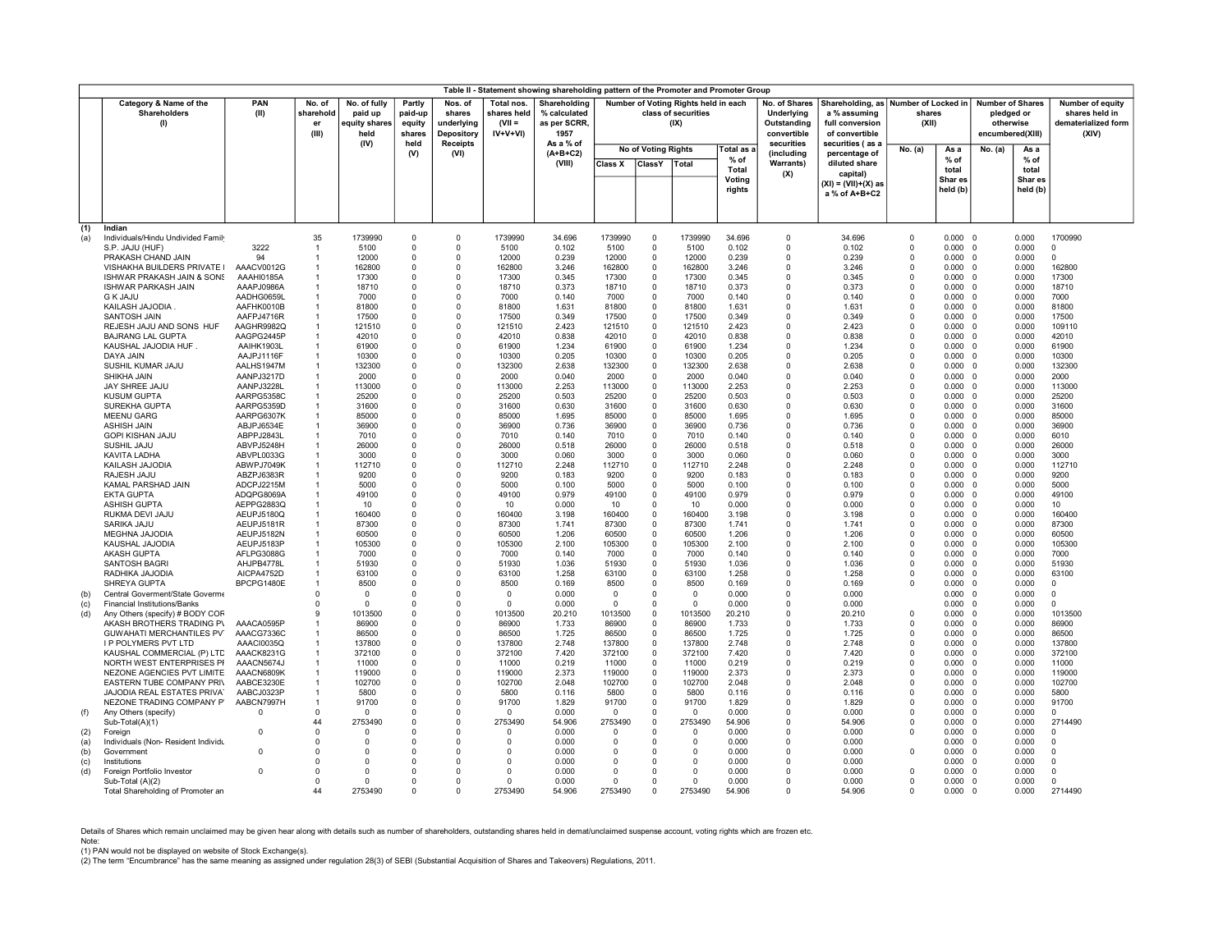|                                                              |                                                                        |                                    |                                                  |                                       |                                               |                                                     |                                                      | Table II - Statement showing shareholding pattern of the Promoter and Promoter Group |                        |                                                                     |                        |                                                           |                                                                       |                                                           |                               |                                |                            |                                                                    |                      |
|--------------------------------------------------------------|------------------------------------------------------------------------|------------------------------------|--------------------------------------------------|---------------------------------------|-----------------------------------------------|-----------------------------------------------------|------------------------------------------------------|--------------------------------------------------------------------------------------|------------------------|---------------------------------------------------------------------|------------------------|-----------------------------------------------------------|-----------------------------------------------------------------------|-----------------------------------------------------------|-------------------------------|--------------------------------|----------------------------|--------------------------------------------------------------------|----------------------|
| Category & Name of the<br>PAN<br>Shareholders<br>(II)<br>(1) |                                                                        | No. of<br>sharehold<br>er<br>(III) | No. of fully<br>paid up<br>equity share:<br>held | Partly<br>paid-up<br>equity<br>shares | Nos. of<br>shares<br>underlying<br>Depository | Total nos.<br>shares held<br>$(VII =$<br>$IV+V+VI)$ | Shareholding<br>% calculated<br>as per SCRR,<br>1957 |                                                                                      |                        | Number of Voting Rights held in each<br>class of securities<br>(IX) |                        | No. of Shares<br>Underlying<br>Outstanding<br>convertible | Shareholding, as<br>a % assuming<br>full conversion<br>of convertible | Number of Locked in   Number of Shares<br>shares<br>(XII) |                               | pledged or<br>encumbered(XIII) | otherwise                  | Number of equity<br>shares held in<br>dematerialized form<br>(XIV) |                      |
|                                                              |                                                                        |                                    |                                                  | (IV)                                  | held<br>(V)                                   | <b>Receipts</b><br>(VI)                             |                                                      | As a % of<br>$(A+B+C2)$                                                              |                        | <b>No of Voting Rights</b>                                          |                        | Total as a                                                | securities<br>(including                                              | securities (as a<br>percentage of                         | No. (a)                       | As a                           | No. (a)                    | As a                                                               |                      |
|                                                              |                                                                        |                                    |                                                  |                                       |                                               |                                                     |                                                      | (VIII)                                                                               | <b>Class X</b>         | <b>ClassY</b>                                                       | Total                  | % of                                                      | <b>Warrants)</b>                                                      | diluted share                                             |                               | % of                           |                            | % of                                                               |                      |
|                                                              |                                                                        |                                    |                                                  |                                       |                                               |                                                     |                                                      |                                                                                      |                        |                                                                     |                        | <b>Total</b><br>Voting                                    | (X)                                                                   | capital)                                                  |                               | total<br>Shar es               |                            | total<br>Shar es                                                   |                      |
|                                                              |                                                                        |                                    |                                                  |                                       |                                               |                                                     |                                                      |                                                                                      |                        |                                                                     |                        | rights                                                    |                                                                       | (XI) = (VII)+(X) as<br>a % of A+B+C2                      |                               | held (b)                       |                            | held (b)                                                           |                      |
|                                                              |                                                                        |                                    |                                                  |                                       |                                               |                                                     |                                                      |                                                                                      |                        |                                                                     |                        |                                                           |                                                                       |                                                           |                               |                                |                            |                                                                    |                      |
|                                                              |                                                                        |                                    |                                                  |                                       |                                               |                                                     |                                                      |                                                                                      |                        |                                                                     |                        |                                                           |                                                                       |                                                           |                               |                                |                            |                                                                    |                      |
| (1)                                                          | Indian                                                                 |                                    | 35                                               | 1739990                               | $\Omega$                                      | $\Omega$                                            | 1739990                                              | 34.696                                                                               | 1739990                | $\Omega$                                                            | 1739990                | 34.696                                                    | $^{\circ}$                                                            | 34.696                                                    | $\mathbf 0$                   | $0.000 \quad 0$                |                            | 0.000                                                              |                      |
| (a)                                                          | Individuals/Hindu Undivided Family<br>S.P. JAJU (HUF)                  | 3222                               |                                                  | 5100                                  | $\Omega$                                      | 0                                                   | 5100                                                 | 0.102                                                                                | 5100                   | $\Omega$                                                            | 5100                   | 0.102                                                     | $\Omega$                                                              | 0.102                                                     | $\mathbf 0$                   | 0.000                          | $\mathbf{0}$               | 0.000                                                              | 1700990<br>$\Omega$  |
|                                                              | PRAKASH CHAND JAIN                                                     | 94                                 |                                                  | 12000                                 | $\Omega$                                      | 0                                                   | 12000                                                | 0.239                                                                                | 12000                  | $\Omega$                                                            | 12000                  | 0.239                                                     | $\Omega$                                                              | 0.239                                                     | $\mathbf 0$                   | 0.000                          | $\Omega$                   | 0.000                                                              | $\Omega$             |
|                                                              | VISHAKHA BUILDERS PRIVATE I                                            | AAACV0012G                         |                                                  | 162800                                | $\Omega$                                      | $\Omega$                                            | 162800                                               | 3.246                                                                                | 162800                 | $\Omega$                                                            | 162800                 | 3.246                                                     | $\Omega$                                                              | 3.246                                                     | $\mathbf 0$                   | 0.000                          | $\Omega$                   | 0.000                                                              | 162800               |
|                                                              | ISHWAR PRAKASH JAIN & SONS                                             | AAAHI0185A<br>AAAPJ0986A           |                                                  | 17300<br>18710                        | 0<br>$\Omega$                                 | 0<br>$\Omega$                                       | 17300<br>18710                                       | 0.345                                                                                | 17300<br>18710         | 0<br>$\Omega$                                                       | 17300<br>18710         | 0.345<br>0.373                                            | 0<br>$\Omega$                                                         | 0.345<br>0.373                                            | $\mathbf 0$<br>$\Omega$       | 0.000<br>0.000                 | $\Omega$<br>$\Omega$       | 0.000<br>0.000                                                     | 17300<br>18710       |
|                                                              | <b>ISHWAR PARKASH JAIN</b><br><b>G K JAJU</b>                          | AADHG0659L                         |                                                  | 7000                                  | $\Omega$                                      | $\Omega$                                            | 7000                                                 | 0.373<br>0.140                                                                       | 7000                   | $\Omega$                                                            | 7000                   | 0.140                                                     | $\Omega$                                                              | 0.140                                                     | $\mathbf 0$                   | 0.000                          | $\Omega$                   | 0.000                                                              | 7000                 |
|                                                              | KAILASH JAJODIA.                                                       | AAFHK0010B                         |                                                  | 81800                                 | $\Omega$                                      | $\Omega$                                            | 81800                                                | 1.631                                                                                | 81800                  | $\Omega$                                                            | 81800                  | 1.631                                                     | $\Omega$                                                              | 1.631                                                     | $\Omega$                      | $0.000 \quad 0$                |                            | 0.000                                                              | 81800                |
|                                                              | <b>SANTOSH JAIN</b>                                                    | AAFPJ4716R                         |                                                  | 17500                                 | $\Omega$                                      | $\Omega$                                            | 17500                                                | 0.349                                                                                | 17500                  | $\Omega$                                                            | 17500                  | 0.349                                                     | $\Omega$                                                              | 0.349                                                     | $\mathbf{0}$                  | 0.000                          | $\Omega$                   | 0.000                                                              | 17500                |
|                                                              | REJESH JAJU AND SONS HUF                                               | AAGHR9982Q                         |                                                  | 121510                                | $\Omega$                                      | $\Omega$                                            | 121510                                               | 2.423                                                                                | 121510                 | $\Omega$                                                            | 121510                 | 2.423                                                     | $\Omega$                                                              | 2.423                                                     | $\overline{0}$                | 0.000                          | $\Omega$                   | 0.000                                                              | 109110               |
|                                                              | <b>BAJRANG LAL GUPTA</b><br>KAUSHAL JAJODIA HUF                        | AAGPG2445P<br>AAIHK1903L           |                                                  | 42010<br>61900                        | $\Omega$<br>0                                 | $\Omega$<br>0                                       | 42010<br>61900                                       | 0.838<br>1.234                                                                       | 42010<br>61900         | $\Omega$<br>$\Omega$                                                | 42010<br>61900         | 0.838<br>1.234                                            | $\Omega$<br>$\mathbf 0$                                               | 0.838<br>1.234                                            | $\Omega$<br>$\mathbf 0$       | 0.000<br>0.000                 | $\Omega$<br>$\overline{0}$ | 0.000<br>0.000                                                     | 42010<br>61900       |
|                                                              | DAYA JAIN                                                              | AAJPJ1116F                         |                                                  | 10300                                 | $\Omega$                                      | $\Omega$                                            | 10300                                                | 0.205                                                                                | 10300                  | $\Omega$                                                            | 10300                  | 0.205                                                     | $\Omega$                                                              | 0.205                                                     | $\Omega$                      | 0.000                          | $\Omega$                   | 0.000                                                              | 10300                |
|                                                              | SUSHIL KUMAR JAJU                                                      | AALHS1947M                         |                                                  | 132300                                | $\Omega$                                      | 0                                                   | 132300                                               | 2.638                                                                                | 132300                 | $\Omega$                                                            | 132300                 | 2.638                                                     | $\mathbf 0$                                                           | 2.638                                                     | $^{\circ}$                    | 0.000                          | $\Omega$                   | 0.000                                                              | 132300               |
|                                                              | SHIKHA JAIN                                                            | AANPJ3217D                         |                                                  | 2000                                  | $\Omega$                                      | $\Omega$                                            | 2000                                                 | 0.040                                                                                | 2000                   | $\Omega$                                                            | 2000                   | 0.040                                                     | $\Omega$                                                              | 0.040                                                     | $\mathbf 0$                   | 0.000                          | $\Omega$                   | 0.000                                                              | 2000                 |
|                                                              | JAY SHREE JAJU<br><b>KUSUM GUPTA</b>                                   | AANPJ3228L<br>AARPG5358C           |                                                  | 113000<br>25200                       | $\Omega$<br>$\Omega$                          | $\Omega$<br>$\Omega$                                | 113000<br>25200                                      | 2.253<br>0.503                                                                       | 113000<br>25200        | $\Omega$<br>$\Omega$                                                | 113000<br>25200        | 2.253<br>0.503                                            | $\mathbf 0$<br>$\Omega$                                               | 2.253<br>0.503                                            | $\mathbf 0$<br>$\mathbf 0$    | 0.000<br>0.000                 | $\Omega$<br>$\Omega$       | 0.000<br>0.000                                                     | 113000<br>25200      |
|                                                              | SUREKHA GUPTA                                                          | AARPG5359D                         |                                                  | 31600                                 | $\Omega$                                      | 0                                                   | 31600                                                | 0.630                                                                                | 31600                  | $\Omega$                                                            | 31600                  | 0.630                                                     | $\Omega$                                                              | 0.630                                                     | $\mathbf 0$                   | 0.000                          | $\Omega$                   | 0.000                                                              | 31600                |
|                                                              | <b>MEENU GARG</b>                                                      | AARPG6307K                         |                                                  | 85000                                 | 0                                             | 0                                                   | 85000                                                | 1.695                                                                                | 85000                  | $^{\circ}$                                                          | 85000                  | 1.695                                                     | $^{\circ}$                                                            | 1.695                                                     | $\overline{0}$                | 0.000                          | $\Omega$                   | 0.000                                                              | 85000                |
|                                                              | <b>ASHISH JAIN</b>                                                     | ABJPJ6534E                         |                                                  | 36900                                 | $\mathbf 0$                                   | 0                                                   | 36900                                                | 0.736                                                                                | 36900                  | $\Omega$                                                            | 36900                  | 0.736                                                     | $^{\circ}$                                                            | 0.736                                                     | $\overline{0}$                | 0.000                          | $\Omega$                   | 0.000                                                              | 36900                |
|                                                              | <b>GOPI KISHAN JAJU</b>                                                | ABPPJ2843L                         |                                                  | 7010                                  | $\Omega$                                      | $\Omega$                                            | 7010                                                 | 0.140                                                                                | 7010                   | $\Omega$                                                            | 7010                   | 0.140                                                     | $\Omega$                                                              | 0.140                                                     | $\overline{0}$                | 0.000                          | $\Omega$                   | 0.000                                                              | 6010                 |
|                                                              | SUSHIL JAJU<br><b>KAVITA LADHA</b>                                     | ABVPJ5248H<br>ABVPL0033G           |                                                  | 26000<br>3000                         | $\Omega$<br>$\Omega$                          | $\Omega$<br>$\Omega$                                | 26000<br>3000                                        | 0.518<br>0.060                                                                       | 26000<br>3000          | $\Omega$<br>$\Omega$                                                | 26000<br>3000          | 0.518<br>0.060                                            | $\Omega$<br>$\Omega$                                                  | 0.518<br>0.060                                            | $\mathbf 0$<br>$\overline{0}$ | 0.000<br>0.000                 | $\Omega$<br>$\Omega$       | 0.000<br>0.000                                                     | 26000<br>3000        |
|                                                              | KAILASH JAJODIA                                                        | ABWPJ7049K                         |                                                  | 112710                                | $\Omega$                                      | $\Omega$                                            | 112710                                               | 2.248                                                                                | 112710                 | $\Omega$                                                            | 112710                 | 2.248                                                     | $\Omega$                                                              | 2.248                                                     | $\mathbf{0}$                  | 0.000                          | $\Omega$                   | 0.000                                                              | 112710               |
|                                                              | RAJESH JAJU                                                            | ABZPJ6383R                         |                                                  | 9200                                  | $\Omega$                                      | $\Omega$                                            | 9200                                                 | 0.183                                                                                | 9200                   | $\Omega$                                                            | 9200                   | 0.183                                                     | $\Omega$                                                              | 0.183                                                     | $\mathbf{0}$                  | 0.000                          | $\Omega$                   | 0.000                                                              | 9200                 |
|                                                              | KAMAL PARSHAD JAIN                                                     | ADCPJ2215M                         |                                                  | 5000                                  | $\Omega$                                      | $\Omega$                                            | 5000                                                 | 0.100                                                                                | 5000                   | $\Omega$                                                            | 5000                   | 0.100                                                     | $\Omega$                                                              | 0.100                                                     | $\mathbf{0}$                  | 0.000                          | $\Omega$                   | 0.000                                                              | 5000                 |
|                                                              | EKTA GUPTA<br><b>ASHISH GUPTA</b>                                      | ADQPG8069A<br>AEPPG2883Q           |                                                  | 49100<br>10                           | $\Omega$<br>$\Omega$                          | $\Omega$<br>$\Omega$                                | 49100<br>10                                          | 0.979<br>0.000                                                                       | 49100<br>10            | $\Omega$<br>$\Omega$                                                | 49100<br>10            | 0.979<br>0.000                                            | $\mathbf 0$<br>$\Omega$                                               | 0.979<br>0.000                                            | $\mathbf 0$<br>$\Omega$       | 0.000<br>0.000                 | $\Omega$<br>$\overline{0}$ | 0.000<br>0.000                                                     | 49100<br>10          |
|                                                              | RUKMA DEVI JAJU                                                        | AEUPJ5180Q                         |                                                  | 160400                                | $\Omega$                                      | $\Omega$                                            | 160400                                               | 3.198                                                                                | 160400                 | $\mathbf 0$                                                         | 160400                 | 3.198                                                     | $\mathbf 0$                                                           | 3.198                                                     | $\mathbf 0$                   | 0.000                          | $\Omega$                   | 0.000                                                              | 160400               |
|                                                              | SARIKA JAJU                                                            | AEUPJ5181R                         |                                                  | 87300                                 | $\Omega$                                      | $\Omega$                                            | 87300                                                | 1.741                                                                                | 87300                  | $\Omega$                                                            | 87300                  | 1.741                                                     | $\Omega$                                                              | 1.741                                                     | $\Omega$                      | 0.000                          | $\overline{0}$             | 0.000                                                              | 87300                |
|                                                              | MEGHNA JAJODIA                                                         | AEUPJ5182N                         |                                                  | 60500                                 | $\Omega$                                      | 0                                                   | 60500                                                | 1.206                                                                                | 60500                  | $\Omega$                                                            | 60500                  | 1.206                                                     | $\mathbf 0$                                                           | 1.206                                                     | $\mathbf 0$                   | 0.000                          | $\Omega$                   | 0.000                                                              | 60500                |
|                                                              | KAUSHAL JAJODIA<br><b>AKASH GUPTA</b>                                  | AEUPJ5183P<br>AFLPG3088G           |                                                  | 105300<br>7000                        | $\Omega$<br>$\Omega$                          | 0<br>$\Omega$                                       | 105300<br>7000                                       | 2.100<br>0.140                                                                       | 105300<br>7000         | $\Omega$<br>$\Omega$                                                | 105300<br>7000         | 2.100<br>0.140                                            | $\mathbf 0$<br>$\Omega$                                               | 2.100<br>0.140                                            | $\mathbf 0$<br>$\Omega$       | 0.000<br>0.000                 | $\Omega$<br>$\Omega$       | 0.000<br>0.000                                                     | 105300<br>7000       |
|                                                              | <b>SANTOSH BAGRI</b>                                                   | AHJPB4778L                         |                                                  | 51930                                 | 0                                             | 0                                                   | 51930                                                | 1.036                                                                                | 51930                  | 0                                                                   | 51930                  | 1.036                                                     | $^{\circ}$                                                            | 1.036                                                     | $^{\circ}$                    | 0.000                          | $\Omega$                   | 0.000                                                              | 51930                |
|                                                              | RADHIKA JAJODIA                                                        | AICPA4752D                         |                                                  | 63100                                 | $\Omega$                                      | $\Omega$                                            | 63100                                                | 1.258                                                                                | 63100                  | $\Omega$                                                            | 63100                  | 1.258                                                     | $\Omega$                                                              | 1.258                                                     | $\Omega$                      | 0.000                          | $\Omega$                   | 0.000                                                              | 63100                |
|                                                              | SHREYA GUPTA                                                           | BPCPG1480E                         |                                                  | 8500                                  | $\Omega$                                      | $\Omega$                                            | 8500                                                 | 0.169                                                                                | 8500                   | $\Omega$                                                            | 8500                   | 0.169                                                     | $\Omega$                                                              | 0.169                                                     | $\Omega$                      | 0.000                          | $\Omega$                   | 0.000                                                              | $\Omega$             |
| (b)                                                          | Central Goverment/State Goverme<br><b>Financial Institutions/Banks</b> |                                    | $\Omega$<br>n                                    | $\Omega$<br>$\Omega$                  | $\Omega$<br>$\Omega$                          | $\Omega$<br>$\Omega$                                | $\Omega$<br>$\Omega$                                 | 0.000<br>0.000                                                                       | $^{\circ}$<br>$\Omega$ | $\Omega$<br>$\Omega$                                                | $^{\circ}$<br>$\Omega$ | 0.000<br>0.000                                            | $\Omega$<br>$\Omega$                                                  | 0.000<br>0.000                                            |                               | $0.000 \quad 0$<br>0.000       | $\Omega$                   | 0.000<br>0.000                                                     | $\Omega$<br>$\Omega$ |
| (c)<br>(d)                                                   | Any Others (specify) # BODY COR                                        |                                    |                                                  | 1013500                               | $\Omega$                                      | $\Omega$                                            | 1013500                                              | 20.210                                                                               | 1013500                | $\Omega$                                                            | 1013500                | 20.210                                                    | $\Omega$                                                              | 20.210                                                    | $\mathbf 0$                   | 0.000                          | $\Omega$                   | 0.000                                                              | 1013500              |
|                                                              | AKASH BROTHERS TRADING PV                                              | AAACA0595P                         |                                                  | 86900                                 | $\Omega$                                      | $\Omega$                                            | 86900                                                | 1.733                                                                                | 86900                  | $\Omega$                                                            | 86900                  | 1.733                                                     | $\Omega$                                                              | 1.733                                                     | $\overline{0}$                | 0.000                          | $\Omega$                   | 0.000                                                              | 86900                |
|                                                              | GUWAHATI MERCHANTILES PV                                               | AAACG7336C                         |                                                  | 86500                                 | $\mathbf 0$                                   | 0                                                   | 86500                                                | 1.725                                                                                | 86500                  | $\Omega$                                                            | 86500                  | 1.725                                                     | $\mathbf 0$                                                           | 1.725                                                     | $\mathbf 0$                   | 0.000                          | $\mathbf 0$                | 0.000                                                              | 86500                |
|                                                              | <b>I P POLYMERS PVT LTD</b>                                            | AAACI0035Q                         |                                                  | 137800                                | $\Omega$<br>$\Omega$                          | $\Omega$<br>$\Omega$                                | 137800                                               | 2.748                                                                                | 137800                 | $\Omega$<br>$\Omega$                                                | 137800                 | 2.748                                                     | $\Omega$<br>$\Omega$                                                  | 2.748                                                     | $\overline{0}$<br>$\Omega$    | 0.000                          | $\Omega$<br>$\Omega$       | 0.000                                                              | 137800               |
|                                                              | KAUSHAL COMMERCIAL (P) LTD<br>NORTH WEST ENTERPRISES PF                | AAACK8231G<br>AAACN5674J           |                                                  | 372100<br>11000                       | $\Omega$                                      | $\Omega$                                            | 372100<br>11000                                      | 7.420<br>0.219                                                                       | 372100<br>11000        | $\Omega$                                                            | 372100<br>11000        | 7.420<br>0.219                                            | $\Omega$                                                              | 7.420<br>0.219                                            | $^{\circ}$                    | 0.000<br>0.000                 | $\Omega$                   | 0.000<br>0.000                                                     | 372100<br>11000      |
|                                                              | NEZONE AGENCIES PVT LIMITE                                             | AAACN6809K                         |                                                  | 119000                                | $\Omega$                                      | $\Omega$                                            | 119000                                               | 2.373                                                                                | 119000                 | $\Omega$                                                            | 119000                 | 2.373                                                     | $\Omega$                                                              | 2.373                                                     | $\Omega$                      | 0.000                          | $\Omega$                   | 0.000                                                              | 119000               |
|                                                              | EASTERN TUBE COMPANY PRIV                                              | AABCE3230E                         |                                                  | 102700                                | $\Omega$                                      | 0                                                   | 102700                                               | 2.048                                                                                | 102700                 | $\Omega$                                                            | 102700                 | 2.048                                                     | $\Omega$                                                              | 2.048                                                     | $\mathbf 0$                   | 0.000                          | $\Omega$                   | 0.000                                                              | 102700               |
|                                                              | JAJODIA REAL ESTATES PRIVAT                                            | AABCJ0323P                         |                                                  | 5800                                  | $\Omega$                                      | 0                                                   | 5800                                                 | 0.116                                                                                | 5800                   | $\Omega$                                                            | 5800                   | 0.116                                                     | $\Omega$                                                              | 0.116                                                     | $\mathbf 0$                   | 0.000                          | $\Omega$                   | 0.000                                                              | 5800                 |
|                                                              | NEZONE TRADING COMPANY P'<br>Any Others (specify)                      | AABCN7997H<br>$\Omega$             | $\Omega$                                         | 91700<br>$\Omega$                     | $^{\circ}$<br>0                               | 0<br>0                                              | 91700<br>$\Omega$                                    | 1.829<br>0.000                                                                       | 91700<br>$\Omega$      | $^{\circ}$<br>$\Omega$                                              | 91700<br>$\mathbf 0$   | 1.829<br>0.000                                            | $^{\circ}$<br>0                                                       | 1.829<br>0.000                                            | $\mathbf 0$<br>$\overline{0}$ | 0.000<br>0.000                 | $\Omega$<br>$\Omega$       | 0.000<br>0.000                                                     | 91700<br>0           |
| (f)                                                          | Sub-Total(A)(1)                                                        |                                    | 44                                               | 2753490                               | $\Omega$                                      | $\Omega$                                            | 2753490                                              | 54.906                                                                               | 2753490                | $\Omega$                                                            | 2753490                | 54,906                                                    | $\Omega$                                                              | 54.906                                                    | $\Omega$                      | 0.000                          | $\Omega$                   | 0.000                                                              | 2714490              |
| (2)                                                          | Foreign                                                                |                                    | $\Omega$                                         | $\Omega$                              | $\Omega$                                      | $\Omega$                                            | $\Omega$                                             | 0.000                                                                                | $\Omega$               | $\Omega$                                                            | $\Omega$               | 0.000                                                     | $\Omega$                                                              | 0.000                                                     | $\Omega$                      | 0.000                          | $\Omega$                   | 0.000                                                              | $\Omega$             |
| (a)                                                          | Individuals (Non-Resident Individu                                     |                                    | $\Omega$                                         | $\Omega$                              | $\Omega$                                      | $\Omega$                                            | $\Omega$                                             | 0.000                                                                                | $\Omega$               | $\Omega$                                                            | $\Omega$               | 0.000                                                     | $\Omega$                                                              | 0.000                                                     |                               | 0.000                          | $\Omega$                   | 0.000                                                              | $\Omega$             |
| (b)                                                          | Government<br>Institutions                                             | $\Omega$                           | $\Omega$<br>$\Omega$                             | $\Omega$<br>$\Omega$                  | $\Omega$<br>$\Omega$                          | $\Omega$<br>$\Omega$                                | $\Omega$<br>$\Omega$                                 | 0.000<br>0.000                                                                       | $\Omega$<br>$\Omega$   | $\Omega$<br>$\Omega$                                                | $\Omega$<br>$\Omega$   | 0.000<br>0.000                                            | $\Omega$<br>$\Omega$                                                  | 0.000<br>0.000                                            | $\mathbf 0$                   | 0.000<br>0.000                 | $\Omega$<br>$\Omega$       | 0.000<br>0.000                                                     | $\Omega$<br>$\Omega$ |
| (c)<br>(d)                                                   | Foreign Portfolio Investor                                             | $\cap$                             | $\Omega$                                         | $\Omega$                              | $\Omega$                                      | $\Omega$                                            | $\Omega$                                             | 0.000                                                                                | $\Omega$               | $\Omega$                                                            | $\Omega$               | 0.000                                                     | $\Omega$                                                              | 0.000                                                     | $\Omega$                      | 0.000                          | $\Omega$                   | 0.000                                                              | $\Omega$             |
|                                                              | Sub-Total (A)(2)                                                       |                                    | $\Omega$                                         | 0                                     | $\Omega$                                      | $\Omega$                                            | $\Omega$                                             | 0.000                                                                                | $\Omega$               | $\Omega$                                                            | $\Omega$               | 0.000                                                     | $\Omega$                                                              | 0.000                                                     | $\Omega$                      | 0.000                          | $\Omega$                   | 0.000                                                              | 0                    |
|                                                              | Total Shareholding of Promoter an                                      |                                    | 44                                               | 2753490                               | $\Omega$                                      | $\Omega$                                            | 2753490                                              | 54.906                                                                               | 2753490                | $^{\circ}$                                                          | 2753490                | 54,906                                                    | $\Omega$                                                              | 54.906                                                    | $\Omega$                      | 0.000                          | $\overline{0}$             | 0.000                                                              | 2714490              |

Details of Shares which remain unclaimed may be given hear along with details such as number of shareholders, outstanding shares held in demat/unclaimed suspense account, voting rights which are frozen etc.

Note:<br>(1) PAN would not be displayed on website of Stock Exchange(s).<br>(2) The term "Encumbrance" has the same meaning as assigned under regulation 28(3) of SEBI (Substantial Acquisition of Shares and Takeovers) Regulations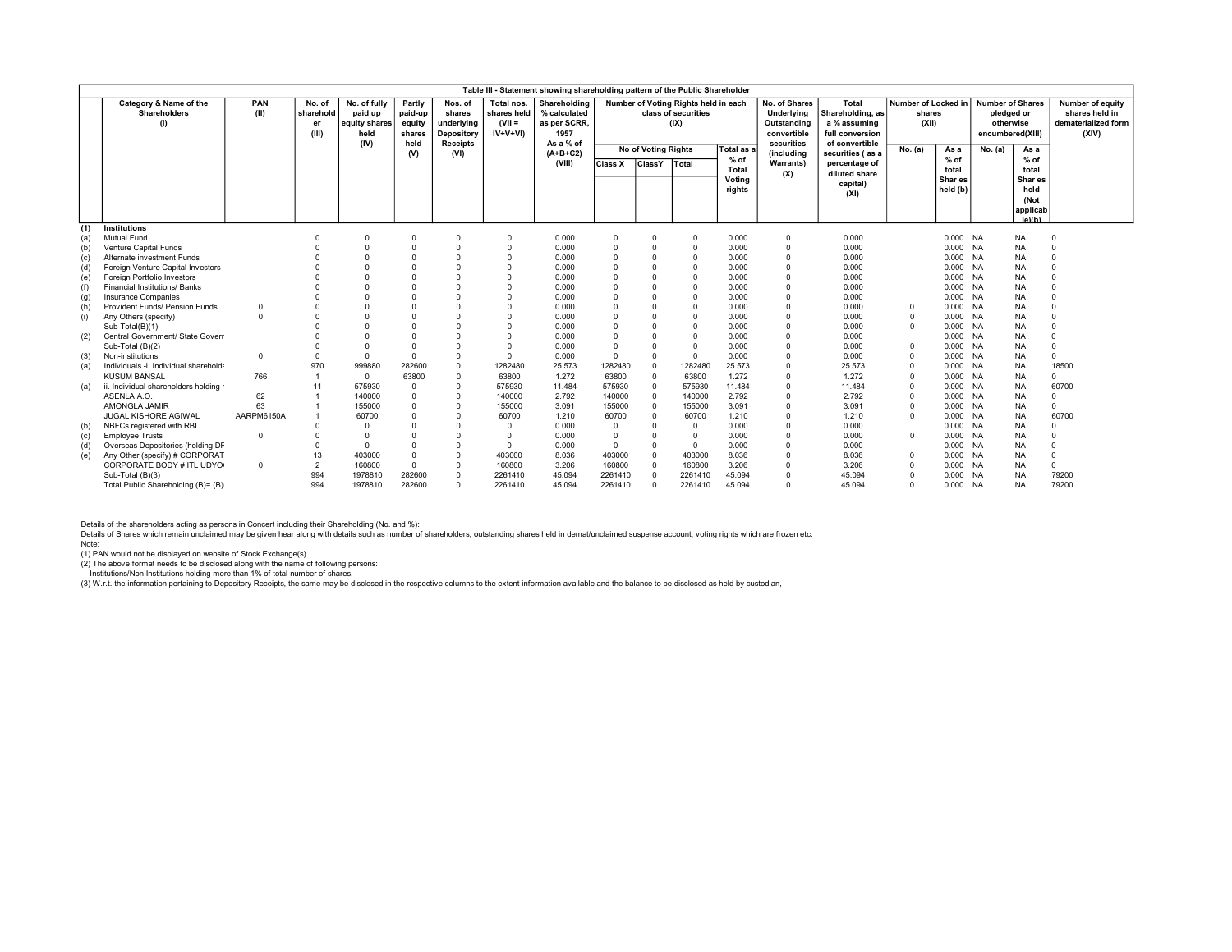|     | Table III - Statement showing shareholding pattern of the Public Shareholder<br><b>Number of Shares</b><br>Number of Voting Rights held in each<br>Number of Locked in |             |                                    |                                                          |                                               |                                                                  |                                                    |                                                                   |                      |                      |                             |                  |                                                                         |                                                                                |                         |                      |                  |                                                        |                                                                    |
|-----|------------------------------------------------------------------------------------------------------------------------------------------------------------------------|-------------|------------------------------------|----------------------------------------------------------|-----------------------------------------------|------------------------------------------------------------------|----------------------------------------------------|-------------------------------------------------------------------|----------------------|----------------------|-----------------------------|------------------|-------------------------------------------------------------------------|--------------------------------------------------------------------------------|-------------------------|----------------------|------------------|--------------------------------------------------------|--------------------------------------------------------------------|
|     | Category & Name of the<br>Shareholders                                                                                                                                 | PAN<br>(II) | No. of<br>sharehold<br>er<br>(III) | No. of fully<br>paid up<br>equity shares<br>held<br>(IV) | Partly<br>paid-up<br>equity<br>shares<br>held | Nos. of<br>shares<br>underlying<br>Depository<br><b>Receipts</b> | Total nos.<br>shares held<br>$(VII =$<br>$IV+V+VI$ | Shareholding<br>% calculated<br>as per SCRR.<br>1957<br>As a % of |                      |                      | class of securities<br>(IX) |                  | No. of Shares<br>Underlying<br>Outstanding<br>convertible<br>securities | Total<br>Shareholding, as<br>a % assuming<br>full conversion<br>of convertible | shares<br>(XII)         |                      | encumbered(XIII) | pledged or<br>otherwise                                | Number of equity<br>shares held in<br>dematerialized form<br>(XIV) |
|     |                                                                                                                                                                        |             |                                    |                                                          | (V)                                           | (VI)                                                             |                                                    | $(A+B+C2)$                                                        | No of Voting Rights  |                      |                             | Total as a       | (including                                                              | securities (as a                                                               | No. (a)                 | As a                 | No. (a)          | As a                                                   |                                                                    |
|     |                                                                                                                                                                        |             |                                    |                                                          |                                               |                                                                  |                                                    | (VIII)                                                            | <b>Class X</b>       | <b>ClassY</b>        | Total                       | % of<br>Total    | <b>Warrants)</b>                                                        | percentage of                                                                  |                         | $%$ of<br>total      |                  | $%$ of<br>total                                        |                                                                    |
|     |                                                                                                                                                                        |             |                                    |                                                          |                                               |                                                                  |                                                    |                                                                   |                      |                      |                             | Voting<br>rights | (X)                                                                     | diluted share<br>capital)<br>(XI)                                              |                         | Shar es<br>held (b)  |                  | Shar es<br>held<br>(Not<br>applicab<br>$ a\rangle$ (h) |                                                                    |
| (1) | <b>Institutions</b>                                                                                                                                                    |             |                                    |                                                          |                                               |                                                                  |                                                    |                                                                   |                      |                      |                             |                  |                                                                         |                                                                                |                         |                      |                  |                                                        |                                                                    |
| (a) | Mutual Fund                                                                                                                                                            |             |                                    | 0                                                        |                                               | $\Omega$<br>$\Omega$                                             | $\Omega$<br>$\Omega$                               | 0.000                                                             | $\Omega$<br>$\Omega$ | $\Omega$<br>$\Omega$ | $\Omega$                    | 0.000            | $\mathbf 0$                                                             | 0.000                                                                          |                         | 0.000 NA<br>0.000 NA |                  | <b>NA</b>                                              | $\mathbf 0$<br>$\Omega$                                            |
| (b) | Venture Capital Funds                                                                                                                                                  |             |                                    |                                                          |                                               |                                                                  | $\Omega$                                           | 0.000                                                             | $\Omega$             |                      | $\Omega$<br>$\Omega$        | 0.000            | 0                                                                       | 0.000<br>0.000                                                                 |                         | 0.000 NA             |                  | <b>NA</b>                                              | $\Omega$                                                           |
| (c) | Alternate investment Funds                                                                                                                                             |             |                                    |                                                          |                                               |                                                                  |                                                    | 0.000<br>0.000                                                    |                      | 0<br>$\Omega$        | $\Omega$                    | 0.000<br>0.000   | 0<br>0                                                                  | 0.000                                                                          |                         | 0.000 NA             |                  | <b>NA</b><br><b>NA</b>                                 | $\Omega$                                                           |
| (d) | Foreign Venture Capital Investors<br>Foreign Portfolio Investors                                                                                                       |             |                                    |                                                          |                                               |                                                                  |                                                    | 0.000                                                             |                      | $\Omega$             | $\Omega$                    | 0.000            | $\Omega$                                                                | 0.000                                                                          |                         | 0.000                | <b>NA</b>        | <b>NA</b>                                              | $\Omega$                                                           |
| (e) | Financial Institutions/ Banks                                                                                                                                          |             |                                    |                                                          |                                               |                                                                  |                                                    | 0.000                                                             |                      |                      | $\Omega$                    |                  | 0                                                                       | 0.000                                                                          |                         | 0.000 NA             |                  |                                                        | $\Omega$                                                           |
| (f) | <b>Insurance Companies</b>                                                                                                                                             |             |                                    |                                                          |                                               |                                                                  | $\Omega$                                           | 0.000                                                             | $\Omega$             | $\Omega$             | $\Omega$                    | 0.000<br>0.000   | $\Omega$                                                                | 0.000                                                                          |                         | 0.000 NA             |                  | <b>NA</b><br><b>NA</b>                                 | $\Omega$                                                           |
| (g) | Provident Funds/ Pension Funds                                                                                                                                         |             |                                    |                                                          |                                               |                                                                  | $\Omega$                                           | 0.000                                                             | $\Omega$             | $\Omega$             | $\Omega$                    | 0.000            | $\Omega$                                                                | 0.000                                                                          |                         | 0.000 NA             |                  | <b>NA</b>                                              | $\Omega$                                                           |
| (h) |                                                                                                                                                                        |             |                                    |                                                          |                                               |                                                                  | $\Omega$                                           | 0.000                                                             |                      | $\Omega$             | $\Omega$                    | 0.000            | 0                                                                       | 0.000                                                                          | $^{\circ}$              | 0.000 NA             |                  | <b>NA</b>                                              | $\Omega$                                                           |
| (i) | Any Others (specify)                                                                                                                                                   |             |                                    |                                                          |                                               |                                                                  |                                                    | 0.000                                                             |                      | $\Omega$             | $\Omega$                    | 0.000            | $\Omega$                                                                | 0.000                                                                          | $\mathbf 0$<br>$\Omega$ | 0.000                | <b>NA</b>        | <b>NA</b>                                              | $\Omega$                                                           |
|     | Sub-Total(B)(1)<br>Central Government/ State Govern                                                                                                                    |             |                                    |                                                          |                                               |                                                                  | $\Omega$                                           | 0.000                                                             | $\Omega$             | $\Omega$             | $\Omega$                    | 0.000            | $\Omega$                                                                | 0.000                                                                          |                         |                      | <b>NA</b>        |                                                        | $\Omega$                                                           |
| (2) | Sub-Total (B)(2)                                                                                                                                                       |             |                                    | $\Omega$                                                 |                                               |                                                                  | $\Omega$                                           | 0.000                                                             | $\Omega$             |                      | $\Omega$                    | 0.000            | $\Omega$                                                                | 0.000                                                                          | $\Omega$                | 0.000<br>0.000 NA    |                  | <b>NA</b><br><b>NA</b>                                 | $\Omega$                                                           |
|     | Non-institutions                                                                                                                                                       | $\Omega$    | $\Omega$                           | $\Omega$                                                 |                                               |                                                                  | $\Omega$                                           | 0.000                                                             | $\Omega$             | $\Omega$             | $\Omega$                    | 0.000            | $\Omega$                                                                | 0.000                                                                          | $\Omega$                | 0.000                | <b>NA</b>        | <b>NA</b>                                              | $\Omega$                                                           |
| (3) | Individuals -i. Individual shareholde                                                                                                                                  |             | 970                                | 999880                                                   | 282600                                        | $\Omega$                                                         | 1282480                                            | 25.573                                                            | 1282480              | $\Omega$             | 1282480                     | 25.573           | $\Omega$                                                                | 25.573                                                                         | $\Omega$                | 0.000 NA             |                  | <b>NA</b>                                              | 18500                                                              |
| (a) | <b>KUSUM BANSAL</b>                                                                                                                                                    | 766         |                                    | $\Omega$                                                 | 63800                                         | $\Omega$                                                         | 63800                                              | 1.272                                                             | 63800                | $\Omega$             | 63800                       | 1.272            | 0                                                                       | 1.272                                                                          | $\Omega$                | 0.000 NA             |                  | <b>NA</b>                                              | $\Omega$                                                           |
|     | ii. Individual shareholders holding r                                                                                                                                  |             | 11                                 | 575930                                                   |                                               | $\Omega$                                                         | 575930                                             | 11.484                                                            | 575930               | $\Omega$             | 575930                      | 11.484           | $\Omega$                                                                | 11.484                                                                         | $\mathbf 0$             | 0.000                | <b>NA</b>        | <b>NA</b>                                              | 60700                                                              |
| (a) | ASENLA A.O.                                                                                                                                                            | 62          |                                    | 140000                                                   |                                               | $\Omega$                                                         | 140000                                             | 2.792                                                             | 140000               | $\Omega$             | 140000                      | 2.792            | $\Omega$                                                                | 2.792                                                                          | $\Omega$                | 0.000                | <b>NA</b>        | <b>NA</b>                                              | $\Omega$                                                           |
|     | AMONGLA JAMIR                                                                                                                                                          | 63          |                                    | 155000                                                   |                                               | $\Omega$                                                         | 155000                                             | 3.091                                                             | 155000               |                      | 155000                      | 3.091            | $\Omega$                                                                | 3.091                                                                          | $\Omega$                | 0.000 NA             |                  | <b>NA</b>                                              | $\Omega$                                                           |
|     | <b>JUGAL KISHORE AGIWAL</b>                                                                                                                                            | AARPM6150A  |                                    | 60700                                                    |                                               | $\Omega$                                                         | 60700                                              | 1.210                                                             | 60700                |                      | 60700                       | 1.210            | $\Omega$                                                                | 1.210                                                                          | $\Omega$                | 0.000 NA             |                  | <b>NA</b>                                              | 60700                                                              |
|     | NBFCs registered with RBI                                                                                                                                              |             |                                    | $\Omega$                                                 |                                               |                                                                  | $\Omega$                                           | 0.000                                                             | $\Omega$             |                      | $\Omega$                    | 0.000            | 0                                                                       | 0.000                                                                          |                         | 0.000 NA             |                  | <b>NA</b>                                              | $\Omega$                                                           |
| (b) | <b>Employee Trusts</b>                                                                                                                                                 | $\Omega$    |                                    | $\Omega$                                                 |                                               |                                                                  | $\Omega$                                           | 0.000                                                             | $\mathbf 0$          |                      | $\Omega$                    | 0.000            | 0                                                                       | 0.000                                                                          | $\Omega$                | 0.000                | <b>NA</b>        | <b>NA</b>                                              | $\Omega$                                                           |
| (c) | Overseas Depositories (holding DF                                                                                                                                      |             |                                    | $\Omega$                                                 |                                               | $\Omega$                                                         | $\Omega$                                           | 0.000                                                             | $\Omega$             | $\Omega$             | $^{\circ}$                  | 0.000            | $\Omega$                                                                | 0.000                                                                          |                         | 0.000                | <b>NA</b>        | <b>NA</b>                                              | $\Omega$                                                           |
| (d) | Any Other (specify) # CORPORAT                                                                                                                                         |             | 13                                 | 403000                                                   |                                               | $\Omega$                                                         | 403000                                             | 8.036                                                             | 403000               |                      | 403000                      | 8.036            | 0                                                                       | 8.036                                                                          | $\Omega$                | 0.000 NA             |                  | <b>NA</b>                                              | $\Omega$                                                           |
| (e) | CORPORATE BODY # ITL UDYO                                                                                                                                              | $\Omega$    | $\overline{2}$                     | 160800                                                   |                                               | $\Omega$                                                         | 160800                                             | 3.206                                                             | 160800               | $\Omega$             | 160800                      | 3.206            | $\Omega$                                                                | 3.206                                                                          | $\Omega$                | 0.000                | <b>NA</b>        | <b>NA</b>                                              | $\Omega$                                                           |
|     | Sub-Total (B)(3)                                                                                                                                                       |             | 994                                | 1978810                                                  | 282600                                        | $\Omega$                                                         | 2261410                                            | 45.094                                                            | 2261410              |                      | 2261410                     | 45.094           | $\Omega$                                                                | 45.094                                                                         | $\Omega$                | 0.000 NA             |                  | <b>NA</b>                                              | 79200                                                              |
|     | Total Public Shareholding (B)= (B)                                                                                                                                     |             | 994                                | 1978810                                                  | 282600                                        | $\Omega$                                                         | 2261410                                            | 45.094                                                            | 2261410              | $\Omega$             | 2261410                     | 45.094           | U                                                                       | 45.094                                                                         | $\Omega$                | 0.000 NA             |                  | <b>NA</b>                                              | 79200                                                              |

Details of the shareholders acting as persons in Concert including their Shareholding (No. and %):<br>Details of Shares which remain unclaimed may be given hear along with details such as number of shareholders, outstanding s

Note:

(1) PAN would not be displayed on website of Stock Exchange(s). (2) The above format needs to be disclosed along with the name of following persons:

Institutions/Non Institutions holding more than 1% of total number of shares.<br>(3) W.r.t. the information pertaining to Depository Receipts, the same may be disclosed in the respective columns to the extent information avai